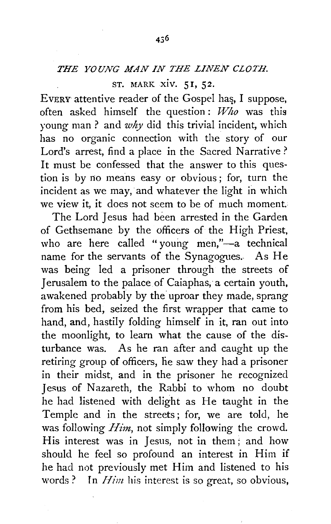## ST. MARK xiv. 5 I, 52.

EVERY attentive reader of the Gospel has, I suppose, often asked himself the question : *Who* was this young man ? and *why* did this trivial incident, which has no organic connection with the story of our Lord's arrest, find a place in the Sacred Narrative? It must be confessed that the answer to this question is by no means easy or obvious; for, turn the incident as we may, and whatever the light in which we view it, it does not seem to be of much moment.

The Lord Jesus had been arrested in the Garden of Gethsemane by the officers of the High Priest, who are here called "young men,"-a technical name for the servants of the Synagogues. As He was being led a prisoner through the streets of Jerusalem to the palace of Caiaphas, a certain youth, awakened probably by the' uproar they made, sprang from his bed, seized the first wrapper that came to hand, and, hastily folding himself in it, ran out into the moonlight, to learn what the cause of the disturbance was. As he ran after and caught up the retiring group of officers, he saw they had a prisoner in their midst, and in the prisoner he recognized Jesus of Nazareth, the Rabbi to whom no doubt he had listened with delight as He taught in the Temple and in the streets; for, we are told, he was following *Him,* not simply following the crowd. His interest was in Jesus, not in them; and how should he feel so profound an interest in Him if he had not previously met Him and listened to his words? In *Him* his interest is so great, so obvious,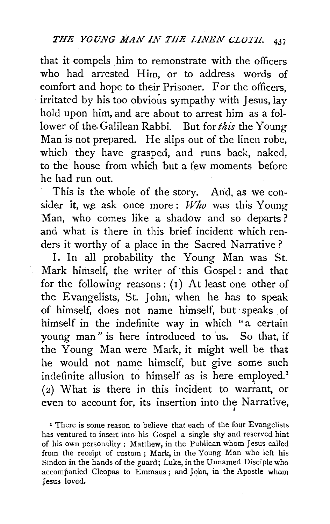that it compels him to remonstrate with the officers who had arrested Him, or to address words of comfort and hope to their Prisoner. For the officers, irritated by his too obvious sympathy with Jesus, lay hold upon him, and are about to arrest him as a follower of the Galilean Rabbi. But for *this* the Young Man is not prepared. He slips out of the linen robe, which they have grasped, and runs back, naked, to the house from which but a few moments before he had run out.

This is the whole of the story. And, as we consider it, we ask once more : *Who* was this Young Man, who comes like a shadow and so departs ? and what is there in this brief incident which renders it worthy of a place in the Sacred Narrative ?

I. In all probability the Young Man was St. Mark himself, the writer of this Gospel: and that for the following reasons :  $(1)$  At least one other of the Evangelists, St. John, when he has to speak of himself, does not name himself, but · speaks of himself in the indefinite way in which "a certain young man" is here introduced to us. So that, if the Young Man were Mark, it might well be that he would not name himself, but give some such indefinite allusion to himself as is here employed.<sup>1</sup> ( 2) What is there in this incident to warrant, or even to account for, its insertion into the Narrative,

<sup>1</sup> There is some reason to believe that each of the four Evangelists has ventured to insert into his Gospel a single shy and reserved hint of his own personality: Matthew, in the Publican whom Jesus called from the receipt of custom; Mark, in the Young Man who left his Sindon in the hands of the guard; Luke, in the Unnamed Disciple who accompanied Cleopas to Emmaus; and John, in the Apostle whom Jesus loved.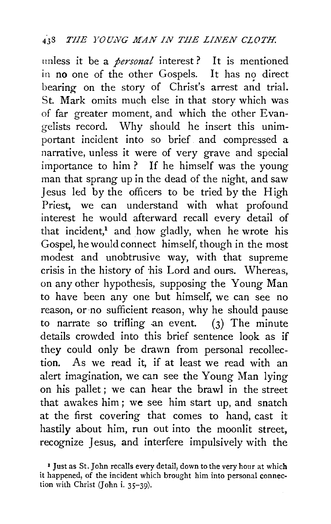unless it be a *personal* interest? It is mentioned in no one of the other Gospels. It has no direct bearing on the story of Christ's arrest and trial. St. Mark omits much else in that story which was of far greater moment, and which the other Evangelists record. Why should he insert this unimportant incident into so brief and compressed a narrative, unless it were of very grave and special importance to him ? If he himself was the young man that sprang up in the dead of the night, and saw Jesus led by the officers to be tried by the High Priest, we can understand with what profound interest he would afterward recall every detail of that incident,<sup>1</sup> and how gladly, when he wrote his Gospel, he would connect himself, though in the most modest and unobtrusive way, with that supreme crisis in the history of his Lord and ours. Whereas, on any other hypothesis, supposing the Young Man to have been any one but himself, we can see no reason, or ·no sufficient reason, why he should pause to narrate so trifling an event.  $(3)$  The minute details crowded into this brief sentence look as if they could only be drawn from personal recollection. As we read it, if at least we read with an alert imagination, we can see the Young Man lying on his pallet ; we can hear the brawl in the street that awakes him ; we see him start up, and snatch at the first covering that comes to hand, cast it hastily about him, run out into the moonlit street, recognize Jesus, and interfere impulsively with the

<sup>&</sup>lt;sup>1</sup> Just as St. John recalls every detail, down to the very hour at which it happened, of the incident which brought him into personal connection with Christ (John i. 35-39).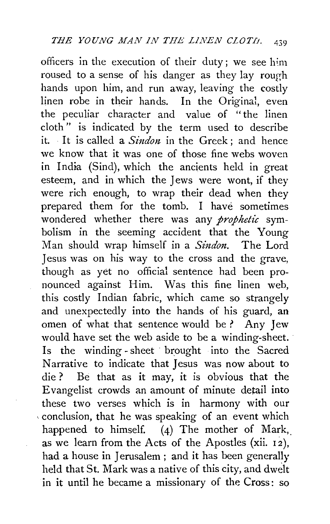officers in the execution of their duty; we see him roused to a sense of his danger as they lay rough hands upon him, and run away, leaving the costly linen robe in their hands. In the Original, even the peculiar character and value of "the linen cloth " is indicated by the term used to describe it. It is called a  $Sindon$  in the Greek; and hence we know that it was one of those fine webs woven in India (Sind), which the ancients held in great esteem, and in which the Jews were wont, if they were rich enough, to wrap their dead when they prepared them for the tomb. I have sometimes wondered whether there was any *prophetic* symbolism in the seeming accident that the Young Man should wrap himself in a *Sindon.* The Lord Jesus was on his way to the cross and the grave, though as yet no official sentence had been pronounced against Him. Was this fine linen web, this costly Indian fabric, which came so strangely and unexpectedly into the hands of his guard, an omen of what that sentence would be ? Any Jew would have set the web aside to be a winding-sheet. Is the winding -sheet · brought into the Sacred Narrative to indicate that Jesus was now about to die ? Be that as it may, it is obvious that the Evangelist crowds an amount of minute detail into these two verses which is in harmony with our , conclusion, that he was speaking of an event which happened to himself. (4) The mother of Mark, as we learn from the Acts of the Apostles (xii. 12), had a house in Jerusalem ; and it has been generally held that St. Mark was a native of this city, and dwelt in it until he became a missionary of the Cross: so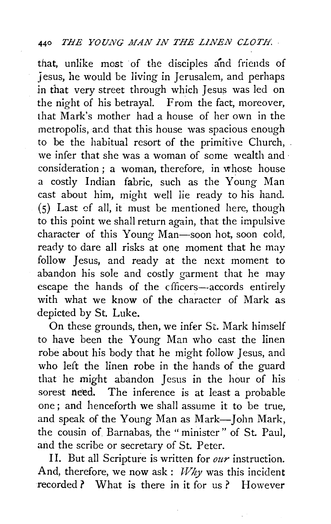that, unlike most of the disciples and friends of j esus, he would be living in Jerusalem, and perhaps in that very street through which Jesus was led on the night of his betrayal. From the fact, moreover, that Mark's mother had a house of her own in the metropolis, ar.d that this house was spacious enough to be the habitual resort of the primitive Church, we infer that she was a woman of some wealth and · consideration; a woman, therefore, in  $\bar{w}$  house a costly Indian fabric, such as the Young Man cast about him, might well lie ready to his hand. (5) Last cf all, it must be mentioned here, though to this point we shall return again, that the impulsive character of this Young Man-soon hot, soon cold, ready to dare all risks at one moment that he may follow Jesus, and ready at the next moment to abandon his sole and costly garment that he may escape the hands of the cfficers--accords entirely with what we know of the character of Mark as depicted by St. Luke.

On these grounds, then, we infer St. Mark himself to have been the Young Man who cast the linen robe about his body that he might follow Jesus, and who left the linen robe in the hands of the guard that he might abandon Jesus in the hour of his sorest need. The inference is at least a probable one ; and henceforth we shall assume it to be true, and speak of the Young Man as Mark-John Mark, the cousin of Barnabas, the " minister " of St. Paul, and the scribe or secretary of St. Peter.

I I. But all Scripture is written for *our* instruction. And, therefore, we now ask :  $Why$  was this incident recorded? What is there in it for us? However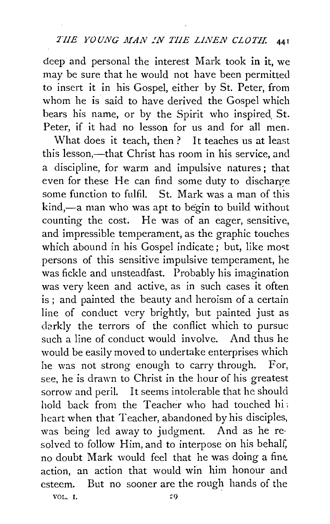deep and personal the interest Mark took in it, we may be sure that he would not have been permitted to insert it in his Gospel, either by St. Peter, from whom he is said to have derived the Gospel which bears his name, or by the Spirit who inspired. St. Peter, if it had no lesson for us and for all men.

What does it teach, then ? It teaches us at least this lesson,—that Christ has room in his service, and a discipline, for warm and impulsive natures; that even for these He can find some duty to discharge some function to fulfil. St. Mark was a man of this kind,—a man who was apt to begin to build without counting the cost. He was of an eager, sensitive, and impressible temperament, as the graphic touches which abound in his Gospel indicate; but, like most persons of this sensitive impulsive temperament, he was fickle and unsteadfast. Probably his imagination was very keen and active, as in such cases it often is ; and painted the beauty and heroism of a certain line of conduct very brightly, but painted just as darkly the terrors of the conflict which to pursue such a line of conduct would involve. And thus he would be easily moved to undertake enterprises which he was not strong enough to carry through. For, see, he is drawn to Christ in the hour of his greatest sorrow and peril. It seems intolerable that he should hold back from the Teacher who had touched hi; heart when that Teacher, abandoned by his disciples, was being led away to judgment. And as he resolved to follow Him, and to interpose on his behalf, no doubt Mark would feel that he was doing a fine action, an action that would win him honour and esteem. But no sooner are the rough hands of the

VOL. I.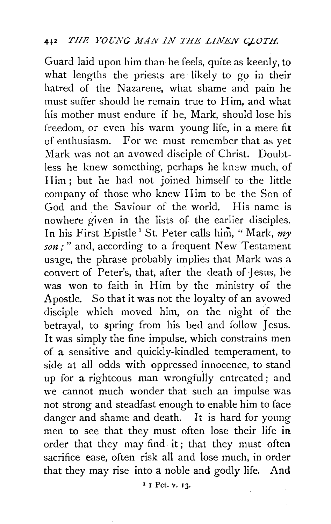Guard laid upon him than he feels, quite as keenly, to what lengths the priests are likely to go in their hatred of the Nazarene, what shame and pain he must suffer should he remain true to Him, and what his mother must endure if he, Mark, should lose his freedom, or even his warm young life, in a mere fit of enthusiasm. For we must remember that as yet Mark was not an avowed disciple of Christ. Doubtless he knew something, perhaps he knew much, of Him ; but he had not joined himself to the little company of those who knew Him to be the Son of God and the Saviour of the world. His name is nowhere given in the lists of the earlier disciples\_. In his First Epistle<sup>1</sup> St. Peter calls him, "Mark, my *son;"* and, according to a frequent New Testament usage, the phrase probably implies that Mark was a convert of Peter's, that, after the death of Jesus, he was won to faith in Him by the ministry of the Apostle. So that it was not the loyalty of an avowed disciple which moved him, on the night of the betrayal, to spring from his bed and follow Jesus. It was simply the fine impulse, which constrains men of a sensitive and quickly-kindled temperament, to side at all odds with oppressed innocence, to stand up for a righteous man wrongfully entreated; and we cannot much wonder that such an impulse was not strong and steadfast enough to enable him to face danger and shame and death. It is hard for young men to see that they must often lose their life in order that they may find- it; that they must often sacrifice ease, often risk all and lose much, in order that they may rise into a noble and godly life. And

1 I Pet. v. 13.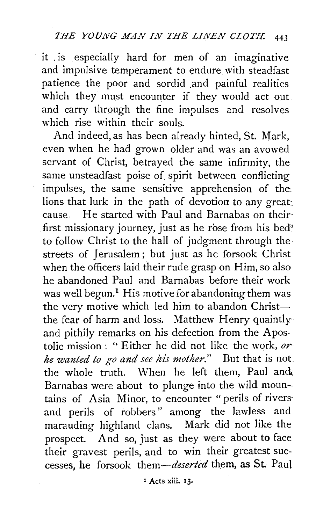it . is especially hard for men of an imaginative and impulsive temperament to endure with steadfast patience the poor and sordid .and painful realities which they must encounter if they would act out and carry through the fine impulses and resolves which rise within their souls.

And indeed, as has been already hinted, St. Mark, even when he had grown older and was an avowed servant of Christ, betrayed the same infirmity, the same unsteadfast poise of spirit between conflicting impulses, the same sensitive apprehension of the. lions that lurk in the path of devotion to any great: cause, He started with Paul and Barnabas on their first missionary journey, just as he rose from his bed<sup>\*</sup> to follow Christ to the hall of judgment through the· streets of Jerusalem ; but just as he forsook Christ when the officers laid their rude grasp on Him, so also he abandoned Paul and Barnabas before their work was well begun.<sup>1</sup> His motive for abandoning them was the very motive which led him to abandon Christthe fear of harm and loss. Matthew Henry quaintly and pithily remarks on his defection from the Apostolic mission : " Either he did not like the work, *or he wanted to go and see his mother."* But that is not\_ the whole truth. When he left them, Paul and Barnabas were about to plunge into the wild mountains of Asia Minor, to encounter "perils of rivers and perils of robbers" among the lawless and marauding highland clans. Mark did not like the prospect. And so, just as they were about to face their gravest perils, and to win their greatest successes, he forsook *them-deserted* them, as St. Paul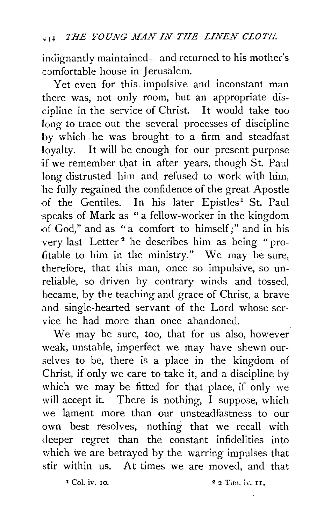indignantly maintained-and returned to his mother's comfortable house in Jerusalem.

Yet even for this. impulsive and inconstant man there was, not only room, but an appropriate discipline in the service of Christ. It would take too long to trace out the several processes of discipline by which he was brought to a firm and steadfast loyalty. It will be enough for our present purpose if we remember that in after years, though St. Paul long distrusted him and refused to work with him, he fully regained the confidence of the great Apostle of the Gentiles. In his later Epistles<sup>1</sup> St. Paul speaks of Mark as " a fellow-worker in the kingdom -of God," and as " a comfort to himself;" and in his very last Letter<sup>2</sup> he describes him as being "profitable to him in the ministry." We may be sure, therefore, that this man, once so impulsive, so unreliable, so driven by contrary winds and tossed, became, by the teaching and grace of Christ, a brave and single-hearted servant of the Lord whose service he had more than once abandoned.

We may be sure, too, that for us also, however weak, unstable, imperfect we may have shewn ourselves to be, there is a place in the kingdom of Christ, if only we care to take it, and a discipline by which we may be fitted for that place, if only we will accept it. There is nothing, I suppose, which we lament more than our unsteadfastness to our own best resolves, nothing that we recall with deeper regret than the constant infidelities into which we are betrayed by the warring impulses that stir within us. At times we are moved, and that

 $1^{\circ}$  Col. iv. 10.  $2^{\circ}$  2 Tim. iv. 11.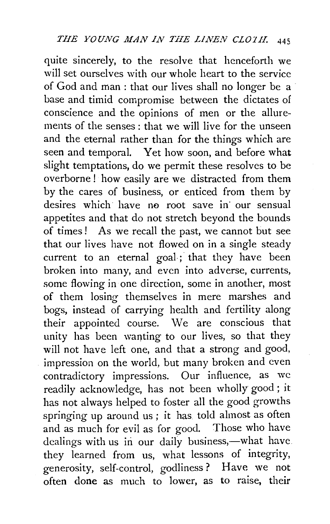quite sincerely, to the resolve that henceforth we will set ourselves with our whole heart to the service of God and man : that our lives shall no longer be a base and timid compromise between the dictates of conscience and the opinions of men or the allurements of the senses : that we will live for the unseen and the eternal rather than for the things which are seen and temporal. Yet how soon, and before what slight temptations, do we permit these resolves to be overborne ! how easily are we distracted from them by the cares of business, or enticed from them by desires which have no root save in our sensual appetites and that do not stretch beyond the bounds of times! As we recall the past, we cannot but see that our lives have not flowed on in a single steady current to an eternal goal; that they have been broken into many, and even into adverse, currents, some flowing in one direction, some in another, most of them losing themselves in mere marshes and bogs, instead of carrying health and fertility along their appointed course. We are conscious that unity has been wanting to our lives, so that they will not have left one, and that a strong and good, impression on the world, but many broken and even contradictory impressions. Our influence, as we readily acknowledge, has not been wholly good; it has not always helped to foster all the good growths springing up around us ; it has told almost as often and as much for evil as for good. Those who have dealings with us in our daily business,-what have. they learned from us, what lessons of integrity, generosity, self-control, godliness ? Have we not often done as much to lower, as to raise, their